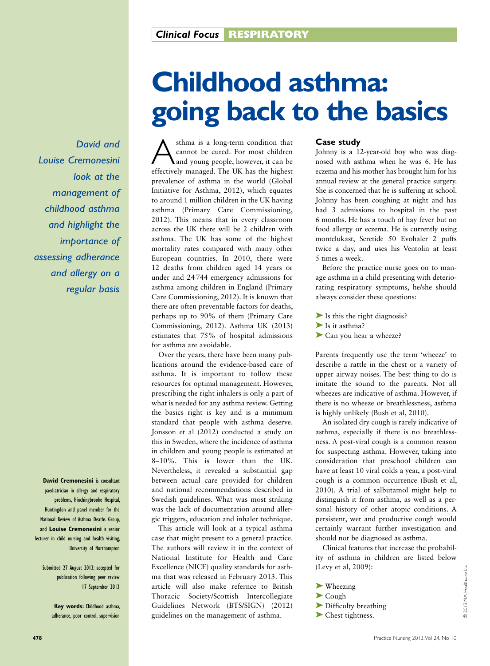*David and Louise Cremonesini look at the management of childhood asthma and highlight the importance of assessing adherance and allergy on a regular basis*

**David Cremonesini** is consultant paediatrician in allergy and respiratory problems, Hinchingbrooke Hospital, Huntingdon and panel member for the National Review of Asthma Deaths Group, and **Louise Cremonesini** is senior lecturer in child nursing and health visiting, University of Northampton

Submitted 27 August 2013; accepted for publication following peer review 17 September 2013

> **Key words:** Childhood asthma, adherance, poor control, supervision

# **Childhood asthma: going back to the basics**

A sthma is a long-term condition that<br>cannot be cured. For most children<br>and young people, however, it can be<br>effectively managed. The LIK has the highest cannot be cured. For most children and young people, however, it can be effectively managed. The UK has the highest prevalence of asthma in the world (Global Initiative for Asthma, 2012), which equates to around 1 million children in the UK having asthma (Primary Care Commissioning, 2012). This means that in every classroom across the UK there will be 2 children with asthma. The UK has some of the highest mortality rates compared with many other European countries. In 2010, there were 12 deaths from children aged 14 years or under and 24744 emergency admissions for asthma among children in England (Primary Care Commissioning, 2012). It is known that there are often preventable factors for deaths, perhaps up to 90% of them (Primary Care Commissioning, 2012). Asthma UK (2013) estimates that 75% of hospital admissions for asthma are avoidable.

Over the years, there have been many publications around the evidence-based care of asthma. It is important to follow these resources for optimal management. However, prescribing the right inhalers is only a part of what is needed for any asthma review. Getting the basics right is key and is a minimum standard that people with asthma deserve. Jonsson et al (2012) conducted a study on this in Sweden, where the incidence of asthma in children and young people is estimated at 8–10%. This is lower than the UK. Nevertheless, it revealed a substantial gap between actual care provided for children and national recommendations described in Swedish guidelines. What was most striking was the lack of documentation around allergic triggers, education and inhaler technique.

This article will look at a typical asthma case that might present to a general practice. The authors will review it in the context of National Institute for Health and Care Excellence (NICE) quality standards for asthma that was released in February 2013. This article will also make refernce to British Thoracic Society/Scottish Intercollegiate Guidelines Network (BTS/SIGN) (2012) guidelines on the management of asthma.

# **Case study**

Johnny is a 12-year-old boy who was diagnosed with asthma when he was 6. He has eczema and his mother has brought him for his annual review at the general practice surgery. She is concerned that he is suffering at school. Johnny has been coughing at night and has had 3 admissions to hospital in the past 6 months. He has a touch of hay fever but no food allergy or eczema. He is currently using montelukast, Seretide 50 Evohaler 2 puffs twice a day, and uses his Ventolin at least 5 times a week.

Before the practice nurse goes on to manage asthma in a child presenting with deteriorating respiratory symptoms, he/she should always consider these questions:

 $\blacktriangleright$  Is this the right diagnosis?

- ➤ Is it asthma?
- ► Can you hear a wheeze?

Parents frequently use the term 'wheeze' to describe a rattle in the chest or a variety of upper airway noises. The best thing to do is imitate the sound to the parents. Not all wheezes are indicative of asthma. However, if there is no wheeze or breathlessness, asthma is highly unlikely (Bush et al, 2010).

An isolated dry cough is rarely indicative of asthma, especially if there is no breathlessness. A post-viral cough is a common reason for suspecting asthma. However, taking into consideration that preschool children can have at least 10 viral colds a year, a post-viral cough is a common occurrence (Bush et al, 2010). A trial of salbutamol might help to distinguish it from asthma, as well as a personal history of other atopic conditions. A persistent, wet and productive cough would certainly warrant further investigation and should not be diagnosed as asthma.

*C*linical features that increase the probability of asthma in children are listed below (Levy et al, 2009):

- ➤ Wheezing
- ➤ Cough
- ➤ Difficulty breathing
- ➤ Chest tightness.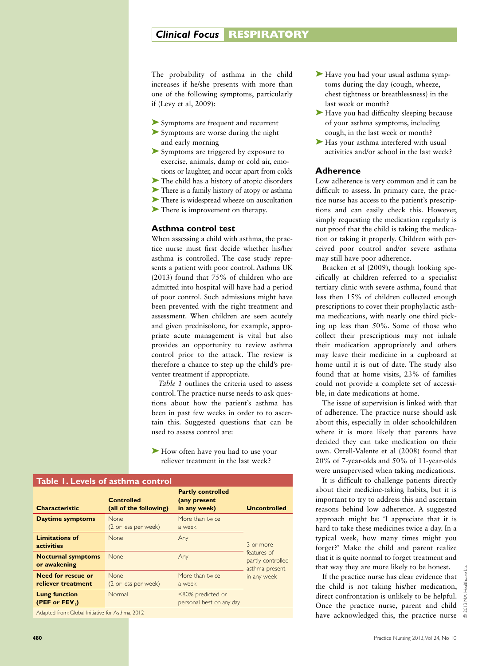# **Clinical Focus RESPIRATORY**

The probability of asthma in the child increases if he/she presents with more than one of the following symptoms, particularly if (Levy et al, 2009):

- ➤ Symptoms are frequent and recurrent
- ➤ Symptoms are worse during the night and early morning
- ➤ Symptoms are triggered by exposure to exercise, animals, damp or cold air, emotions or laughter, and occur apart from colds
- ➤ The child has a history of atopic disorders
- ➤ There is a family history of atopy or asthma
- ➤ There is widespread wheeze on auscultation
- ➤ There is improvement on therapy.

# **Asthma control test**

When assessing a child with asthma, the practice nurse must first decide whether his/her asthma is controlled. The case study represents a patient with poor control. Asthma UK (2013) found that 75% of children who are admitted into hospital will have had a period of poor control. Such admissions might have been prevented with the right treatment and assessment. When children are seen acutely and given prednisolone, for example, appropriate acute management is vital but also provides an opportunity to review asthma control prior to the attack. The review is therefore a chance to step up the child's preventer treatment if appropriate.

*Table 1* outlines the criteria used to assess control. The practice nurse needs to ask questions about how the patient's asthma has been in past few weeks in order to to ascertain this. Suggested questions that can be used to assess control are:

► How often have you had to use your reliever treatment in the last week?

| Table 1. Levels of asthma control          |                                             |                                                          |                                                                                |  |
|--------------------------------------------|---------------------------------------------|----------------------------------------------------------|--------------------------------------------------------------------------------|--|
| <b>Characteristic</b>                      | <b>Controlled</b><br>(all of the following) | <b>Partly controlled</b><br>(any present<br>in any week) | <b>Uncontrolled</b>                                                            |  |
| Daytime symptoms                           | None.<br>(2 or less per week)               | More than twice<br>a week                                |                                                                                |  |
| <b>Limitations of</b><br><b>activities</b> | <b>None</b>                                 | Any                                                      | 3 or more<br>features of<br>partly controlled<br>asthma present<br>in any week |  |
| <b>Nocturnal symptoms</b><br>or awakening  | <b>None</b>                                 | Any                                                      |                                                                                |  |
| Need for rescue or<br>reliever treatment   | <b>None</b><br>(2 or less per week)         | More than twice<br>a week                                |                                                                                |  |
| <b>Lung function</b><br>(PEF or $FEV1$ )   | Normal                                      | <80% predicted or<br>personal best on any day            |                                                                                |  |

Adapted from: Global Initiative for Asthma, 2012

- ► Have you had your usual asthma symptoms during the day (cough, wheeze, chest tightness or breathlessness) in the last week or month?
- ► Have you had difficulty sleeping because of your asthma symptoms, including cough, in the last week or month?
- ▶ Has your asthma interfered with usual activities and/or school in the last week?

# **Adherence**

Low adherence is very common and it can be difficult to assess. In primary care, the practice nurse has access to the patient's prescriptions and can easily check this. However, simply requesting the medication regularly is not proof that the child is taking the medication or taking it properly. Children with perceived poor control and/or severe asthma may still have poor adherence.

Bracken et al (2009), though looking specifically at children referred to a specialist tertiary clinic with severe asthma, found that less then 15% of children collected enough prescriptions to cover their prophylactic asthma medications, with nearly one third picking up less than 50%. Some of those who collect their prescriptions may not inhale their medication appropriately and others may leave their medicine in a cupboard at home until it is out of date. The study also found that at home visits, 23% of families could not provide a complete set of accessible, in date medications at home.

The issue of supervision is linked with that of adherence. The practice nurse should ask about this, especially in older schoolchildren where it is more likely that parents have decided they can take medication on their own. Orrell-Valente et al (2008) found that 20% of 7-year-olds and 50% of 11-year-olds were unsupervised when taking medications.

It is difficult to challenge patients directly about their medicine-taking habits, but it is important to try to address this and ascertain reasons behind low adherence. A suggested approach might be: 'I appreciate that it is hard to take these medicines twice a day. In a typical week, how many times might you forget?' Make the child and parent realize that it is quite normal to forget treatment and that way they are more likely to be honest.

If the practice nurse has clear evidence that the child is not taking his/her medication, direct confrontation is unlikely to be helpful. Once the practice nurse, parent and child have acknowledged this, the practice nurse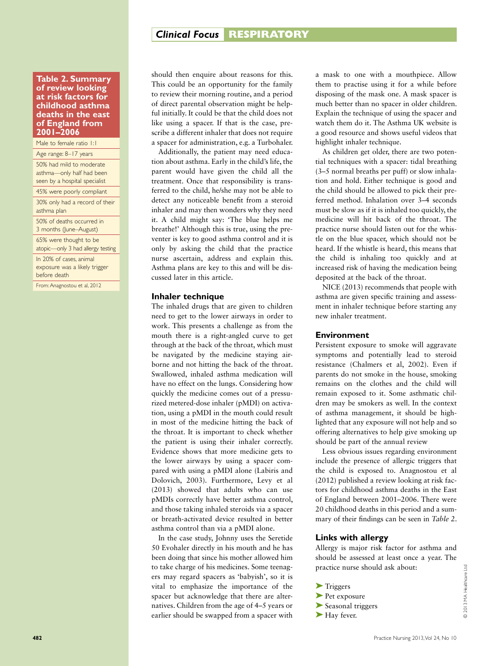# **Clinical Focus RESPIRATORY**

#### **Table 2. Summary of review looking at risk factors for childhood asthma deaths in the east of England from 2001–2006**

Male to female ratio 1:1

Age range: 8–17 years

50% had mild to moderate asthma—only half had been seen by a hospital specialist

45% were poorly compliant

30% only had a record of their asthma plan

50% of deaths occurred in

3 months (June–August) 65% were thought to be

atopic—only 3 had allergy testing

In 20% of cases, animal exposure was a likely trigger before death

From: Anagnostou et al, 2012

should then enquire about reasons for this. This could be an opportunity for the family to review their morning routine, and a period of direct parental observation might be helpful initially. It could be that the child does not like using a spacer. If that is the case, prescribe a different inhaler that does not require a spacer for administration, e.g. a Turbohaler.

Additionally, the patient may need education about asthma. Early in the child's life, the parent would have given the child all the treatment. Once that responsibility is transferred to the child, he/she may not be able to detect any noticeable benefit from a steroid inhaler and may then wonders why they need it. A child might say: 'The blue helps me breathe!' Although this is true, using the preventer is key to good asthma control and it is only by asking the child that the practice nurse ascertain, address and explain this. Asthma plans are key to this and will be discussed later in this article.

# **Inhaler technique**

The inhaled drugs that are given to children need to get to the lower airways in order to work. This presents a challenge as from the mouth there is a right-angled curve to get through at the back of the throat, which must be navigated by the medicine staying airborne and not hitting the back of the throat. Swallowed, inhaled asthma medication will have no effect on the lungs. Considering how quickly the medicine comes out of a pressurized metered-dose inhaler (pMDI) on activation, using a pMDI in the mouth could result in most of the medicine hitting the back of the throat. It is important to check whether the patient is using their inhaler correctly. Evidence shows that more medicine gets to the lower airways by using a spacer compared with using a pMDI alone (Labiris and Dolovich, 2003). Furthermore, Levy et al (2013) showed that adults who can use pMDIs correctly have better asthma control, and those taking inhaled steroids via a spacer or breath-activated device resulted in better asthma control than via a pMDI alone.

In the case study, Johnny uses the Seretide 50 Evohaler directly in his mouth and he has been doing that since his mother allowed him to take charge of his medicines. Some teenagers may regard spacers as 'babyish', so it is vital to emphasize the importance of the spacer but acknowledge that there are alternatives. Children from the age of 4–5 years or earlier should be swapped from a spacer with a mask to one with a mouthpiece. Allow them to practise using it for a while before disposing of the mask one. A mask spacer is much better than no spacer in older children. Explain the technique of using the spacer and watch them do it. The Asthma UK website is a good resource and shows useful videos that highlight inhaler technique.

As children get older, there are two potential techniques with a spacer: tidal breathing (3–5 normal breaths per puff) or slow inhalation and hold. Either technique is good and the child should be allowed to pick their preferred method. Inhalation over 3–4 seconds must be slow as if it is inhaled too quickly, the medicine will hit back of the throat. The practice nurse should listen out for the whistle on the blue spacer, which should not be heard. If the whistle is heard, this means that the child is inhaling too quickly and at increased risk of having the medication being deposited at the back of the throat.

NICE (2013) recommends that people with asthma are given specific training and assessment in inhaler technique before starting any new inhaler treatment.

#### **Environment**

Persistent exposure to smoke will aggravate symptoms and potentially lead to steroid resistance (Chalmers et al, 2002). Even if parents do not smoke in the house, smoking remains on the clothes and the child will remain exposed to it. Some asthmatic children may be smokers as well. In the context of asthma management, it should be highlighted that any exposure will not help and so offering alternatives to help give smoking up should be part of the annual review

Less obvious issues regarding environment include the presence of allergic triggers that the child is exposed to. Anagnostou et al (2012) published a review looking at risk factors for childhood asthma deaths in the East of England between 2001–2006. There were 20 childhood deaths in this period and a summary of their findings can be seen in *Table 2*.

# **Links with allergy**

Allergy is major risk factor for asthma and should be assessed at least once a year. The practice nurse should ask about:

- ➤ Triggers
- ▶ Pet exposure
- ➤ Seasonal triggers
- ▶ Hay fever.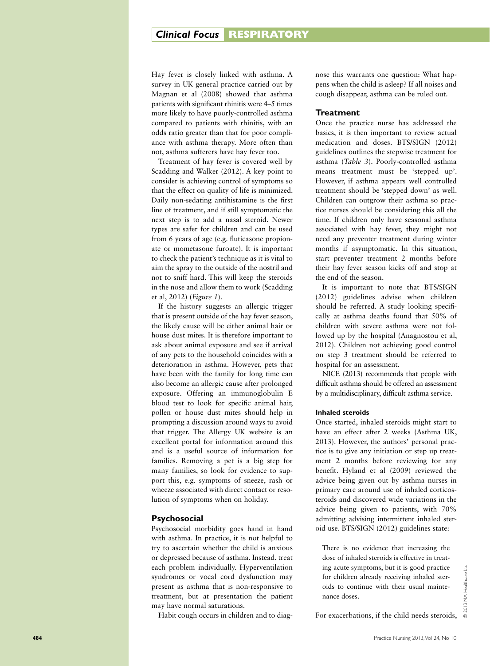Hay fever is closely linked with asthma. A survey in UK general practice carried out by Magnan et al (2008) showed that asthma patients with significant rhinitis were 4–5 times more likely to have poorly-controlled asthma compared to patients with rhinitis, with an odds ratio greater than that for poor compli ance with asthma therapy. More often than not, asthma sufferers have hay fever too.

Treatment of hay fever is covered well by Scadding and Walker (2012). A key point to consider is achieving control of symptoms so that the effect on quality of life is minimized. Daily non-sedating antihistamine is the first line of treatment, and if still symptomatic the next step is to add a nasal steroid. Newer types are safer for children and can be used from 6 years of age (e.g. fluticasone propion ate or mometasone furoate). It is important to check the patient's technique as it is vital to aim the spray to the outside of the nostril and not to sniff hard. This will keep the steroids in the nose and allow them to work (Scadding et al, 2012) (*Figure 1*).

If the history suggests an allergic trigger that is present outside of the hay fever season, the likely cause will be either animal hair or house dust mites. It is therefore important to ask about animal exposure and see if arrival of any pets to the household coincides with a deterioration in asthma. However, pets that have been with the family for long time can also become an allergic cause after prolonged exposure. Offering an immunoglobulin E blood test to look for specific animal hair, pollen or house dust mites should help in prompting a discussion around ways to avoid that trigger. The Allergy UK website is an excellent portal for information around this and is a useful source of information for families. Removing a pet is a big step for many families, so look for evidence to sup port this, e.g. symptoms of sneeze, rash or wheeze associated with direct contact or reso lution of symptoms when on holiday.

# **Psychosocial**

Psychosocial morbidity goes hand in hand with asthma. In practice, it is not helpful to try to ascertain whether the child is anxious or depressed because of asthma. Instead, treat each problem individually. Hyperventilation syndromes or vocal cord dysfunction may present as asthma that is non-responsive to treatment, but at presentation the patient may have normal saturations.

Habit cough occurs in children and to diag -

nose this warrants one question: What hap pens when the child is asleep? If all noises and cough disappear, asthma can be ruled out.

#### **Treatment**

Once the practice nurse has addressed the basics, it is then important to review actual medication and doses. BTS/SIGN (2012) guidelines outlines the stepwise treatment for asthma (*Table 3*). Poorly-controlled asthma means treatment must be 'stepped up'. However, if asthma appears well controlled treatment should be 'stepped down' as well. Children can outgrow their asthma so prac tice nurses should be considering this all the time. If children only have seasonal asthma associated with hay fever, they might not need any preventer treatment during winter months if asymptomatic. In this situation, start preventer treatment 2 months before their hay fever season kicks off and stop at the end of the season.

It is important to note that BTS/SIGN (2012) guidelines advise when children should be referred. A study looking specifi cally at asthma deaths found that 50% of children with severe asthma were not fol lowed up by the hospital (Anagnostou et al, 2012). Children not achieving good control on step 3 treatment should be referred to hospital for an assessment.

NICE (2013) recommends that people with difficult asthma should be offered an assessment by a multidisciplinary, difficult asthma service.

#### **Inhaled steroids**

Once started, inhaled steroids might start to have an effect after 2 weeks (Asthma UK, 2013). However, the authors' personal prac tice is to give any initiation or step up treat ment 2 months before reviewing for any benefit. Hyland et al (2009) reviewed the advice being given out by asthma nurses in primary care around use of inhaled corticos teroids and discovered wide variations in the advice being given to patients, with 70% admitting advising intermittent inhaled ster oid use. BTS/SIGN (2012) guidelines state:

There is no evidence that increasing the dose of inhaled steroids is effective in treat ing acute symptoms, but it is good practice for children already receiving inhaled ster oids to continue with their usual mainte nance doses.

For exacerbations, if the child needs steroids,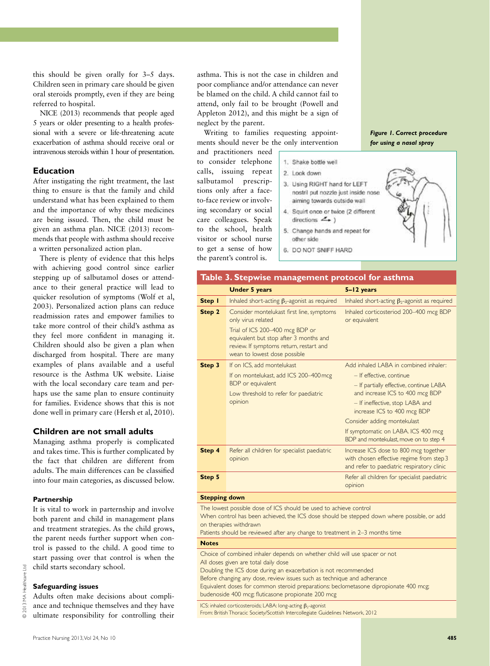this should be given orally for 3–5 days. Children seen in primary care should be given oral steroids promptly, even if they are being referred to hospital.

NICE (2013) recommends that people aged 5 years or older presenting to a health professional with a severe or life-threatening acute exacerbation of asthma should receive oral or intravenous steroids within 1 hour of presentation.

# **Education**

After instigating the right treatment, the last thing to ensure is that the family and child understand what has been explained to them and the importance of why these medicines are being issued. Then, the child must be given an asthma plan. NICE (2013) recommends that people with asthma should receive a written personalized action plan.

There is plenty of evidence that this helps with achieving good control since earlier stepping up of salbutamol doses or attendance to their general practice will lead to quicker resolution of symptoms (Wolf et al, 2003). Personalized action plans can reduce readmission rates and empower families to take more control of their child's asthma as they feel more confident in managing it. Children should also be given a plan when discharged from hospital. There are many examples of plans available and a useful resource is the Asthma UK website. Liaise with the local secondary care team and perhaps use the same plan to ensure continuity for families. Evidence shows that this is not done well in primary care (Hersh et al, 2010).

# **Children are not small adults**

Managing asthma properly is complicated and takes time. This is further complicated by the fact that children are different from adults. The main differences can be classified into four main categories, as discussed below.

#### **Partnership**

It is vital to work in parternship and involve both parent and child in management plans and treatment strategies. As the child grows, the parent needs further support when control is passed to the child. A good time to start passing over that control is when the child starts secondary school.

# **Safeguarding issues**

© 2013 MA Healthcare Ltd

MA Healthcar

 $2013$ 

Adults often make decisions about compliance and technique themselves and they have ultimate responsibility for controlling their

asthma. This is not the case in children and poor compliance and/or attendance can never be blamed on the child. A child cannot fail to attend, only fail to be brought (Powell and Appleton 2012), and this might be a sign of neglect by the parent.

Writing to families requesting appointments should never be the only intervention

and practitioners need to consider telephone calls, issuing repeat salbutamol prescriptions only after a faceto-face review or involving secondary or social care colleagues. Speak to the school, health visitor or school nurse to get a sense of how the parent's control is.

1. Shake bottle well

- 2. Look down
- 3. Using RIGHT hand for LEFT nostril put nozzle just inside nose aiming towards outside wall
- 4. Squirt once or twice (2 different directions  $\leq$   $\rightarrow$  )
- Change hands and repeat for 5. other side
- 6. DO NOT SNIFF HARD



*Figure 1. Correct procedure* 

# **Table 3. Stepwise management protocol for asthma**

|        | <b>Under 5 years</b>                                                                                                                                 | $5 - 12$ years                                                                                                                                                                                          |
|--------|------------------------------------------------------------------------------------------------------------------------------------------------------|---------------------------------------------------------------------------------------------------------------------------------------------------------------------------------------------------------|
| Step 1 | Inhaled short-acting $\beta_2$ -agonist as required                                                                                                  | Inhaled short-acting $\beta_2$ -agonist as required                                                                                                                                                     |
| Step 2 | Consider montelukast first line, symptoms<br>only virus related                                                                                      | Inhaled corticosteriod 200-400 mcg BDP<br>or equivalent                                                                                                                                                 |
|        | Trial of ICS 200-400 mcg BDP or<br>equivalent but stop after 3 months and<br>review. If symptoms return, restart and<br>wean to lowest dose possible |                                                                                                                                                                                                         |
| Step 3 | If on ICS, add montelukast                                                                                                                           | Add inhaled LABA in combined inhaler:                                                                                                                                                                   |
|        | If on montelukast, add ICS 200-400 mcg<br>BDP or equivalent<br>Low threshold to refer for paediatric<br>opinion                                      | - If effective, continue<br>- If partially effective, continue LABA<br>and increase ICS to 400 mcg BDP<br>- If ineffective, stop LABA and<br>increase ICS to 400 mcg BDP<br>Consider adding montekulast |
|        |                                                                                                                                                      | If symptomatic on LABA. ICS 400 mcg<br>BDP and montekulast, move on to step 4                                                                                                                           |
| Step 4 | Refer all children for specialist paediatric<br>opinion                                                                                              | Increase ICS dose to 800 mcg together<br>with chosen effective regime from step 3<br>and refer to paediatric respiratory clinic                                                                         |
| Step 5 |                                                                                                                                                      | Refer all children for specialist paediatric<br>opinion                                                                                                                                                 |

#### **Stepping down**

The lowest possible dose of ICS should be used to achieve control

When control has been achieved, the ICS dose should be stepped down where possible, or add on therapies withdrawn

Patients should be reviewed after any change to treatment in 2–3 months time

#### **Notes**

Choice of combined inhaler depends on whether child will use spacer or not All doses given are total daily dose

Doubling the ICS dose during an exacerbation is not recommended

Before changing any dose, review issues such as technique and adherance

Equivalent doses for common steroid preparations: beclometasone dipropionate 400 mcg; budenoside 400 mcg; fluticasone propionate 200 mcg

ICS: inhaled corticosteroids; LABA: long-acting  $\beta_2$ -agonist

From: British Thoracic Society/Scottish Intercollegiate Guidelines Network, 2012